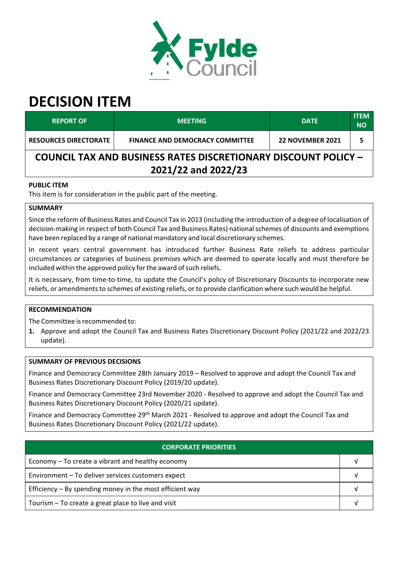

# **DECISION ITEM**

| <b>REPORT OF</b>                                                      | <b>MEETING</b>                         | <b>DATE</b>             | <b>ITEM</b><br><b>NO</b> |  |  |
|-----------------------------------------------------------------------|----------------------------------------|-------------------------|--------------------------|--|--|
| <b>RESOURCES DIRECTORATE</b>                                          | <b>FINANCE AND DEMOCRACY COMMITTEE</b> | <b>22 NOVEMBER 2021</b> | 5                        |  |  |
| <b>COUNCIL TAX AND BUSINESS RATES DISCRETIONARY DISCOUNT POLICY -</b> |                                        |                         |                          |  |  |
| 2021/22 and 2022/23                                                   |                                        |                         |                          |  |  |

# **PUBLIC ITEM**

This item is for consideration in the public part of the meeting.

## **SUMMARY**

Since the reform of Business Rates and Council Tax in 2013 (including the introduction of a degree of localisation of decision‐making in respect of both Council Tax and Business Rates) nationalschemes of discounts and exemptions have been replaced by a range of national mandatory and local discretionary schemes.

In recent years central government has introduced further Business Rate reliefs to address particular circumstances or categories of business premises which are deemed to operate locally and must therefore be included within the approved policy for the award of such reliefs.

It is necessary, from time‐to‐time, to update the Council's policy of Discretionary Discounts to incorporate new reliefs, or amendments to schemes of existing reliefs, or to provide clarification where such would be helpful.

## **RECOMMENDATION**

The Committee is recommended to:

**1.** Approve and adopt the Council Tax and Business Rates Discretionary Discount Policy (2021/22 and 2022/23 update).

#### **SUMMARY OF PREVIOUS DECISIONS**

Finance and Democracy Committee 28th January 2019 – Resolved to approve and adopt the Council Tax and Business Rates Discretionary Discount Policy (2019/20 update).

Finance and Democracy Committee 23rd November 2020 ‐ Resolved to approve and adopt the Council Tax and Business Rates Discretionary Discount Policy (2020/21 update).

Finance and Democracy Committee 29<sup>th</sup> March 2021 - Resolved to approve and adopt the Council Tax and Business Rates Discretionary Discount Policy (2021/22 update).

| <b>CORPORATE PRIORITIES</b>                                |  |  |  |
|------------------------------------------------------------|--|--|--|
| Economy – To create a vibrant and healthy economy          |  |  |  |
| Environment - To deliver services customers expect         |  |  |  |
| Efficiency $-$ By spending money in the most efficient way |  |  |  |
| Tourism - To create a great place to live and visit        |  |  |  |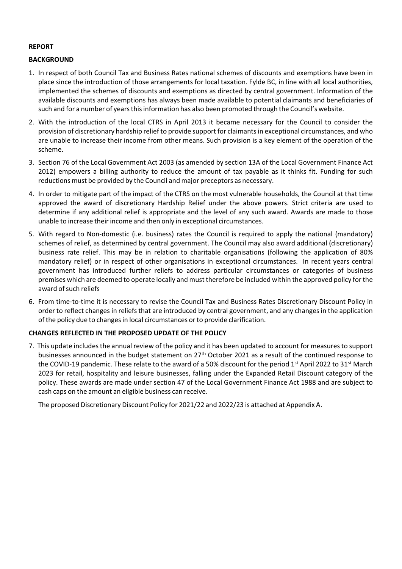## **REPORT**

## **BACKGROUND**

- 1. In respect of both Council Tax and Business Rates national schemes of discounts and exemptions have been in place since the introduction of those arrangements for local taxation. Fylde BC, in line with all local authorities, implemented the schemes of discounts and exemptions as directed by central government. Information of the available discounts and exemptions has always been made available to potential claimants and beneficiaries of such and for a number of years this information has also been promoted through the Council's website.
- 2. With the introduction of the local CTRS in April 2013 it became necessary for the Council to consider the provision of discretionary hardship relief to provide support for claimants in exceptional circumstances, and who are unable to increase their income from other means. Such provision is a key element of the operation of the scheme.
- 3. Section 76 of the Local Government Act 2003 (as amended by section 13A of the Local Government Finance Act 2012) empowers a billing authority to reduce the amount of tax payable as it thinks fit. Funding for such reductions must be provided by the Council and major preceptors as necessary.
- 4. In order to mitigate part of the impact of the CTRS on the most vulnerable households, the Council at that time approved the award of discretionary Hardship Relief under the above powers. Strict criteria are used to determine if any additional relief is appropriate and the level of any such award. Awards are made to those unable to increase their income and then only in exceptional circumstances.
- 5. With regard to Non-domestic (i.e. business) rates the Council is required to apply the national (mandatory) schemes of relief, as determined by central government. The Council may also award additional (discretionary) business rate relief. This may be in relation to charitable organisations (following the application of 80% mandatory relief) or in respect of other organisations in exceptional circumstances. In recent years central government has introduced further reliefs to address particular circumstances or categories of business premises which are deemed to operate locally and must therefore be included within the approved policy forthe award of such reliefs
- 6. From time‐to‐time it is necessary to revise the Council Tax and Business Rates Discretionary Discount Policy in order to reflect changes in reliefsthat are introduced by central government, and any changesin the application of the policy due to changesin local circumstances orto provide clarification.

## **CHANGES REFLECTED IN THE PROPOSED UPDATE OF THE POLICY**

7. This update includes the annual review of the policy and it has been updated to account for measures to support businesses announced in the budget statement on 27<sup>th</sup> October 2021 as a result of the continued response to the COVID-19 pandemic. These relate to the award of a 50% discount for the period 1<sup>st</sup> April 2022 to 31<sup>st</sup> March 2023 for retail, hospitality and leisure businesses, falling under the Expanded Retail Discount category of the policy. These awards are made under section 47 of the Local Government Finance Act 1988 and are subject to cash caps on the amount an eligible business can receive.

The proposed Discretionary Discount Policy for 2021/22 and 2022/23 is attached at Appendix A.